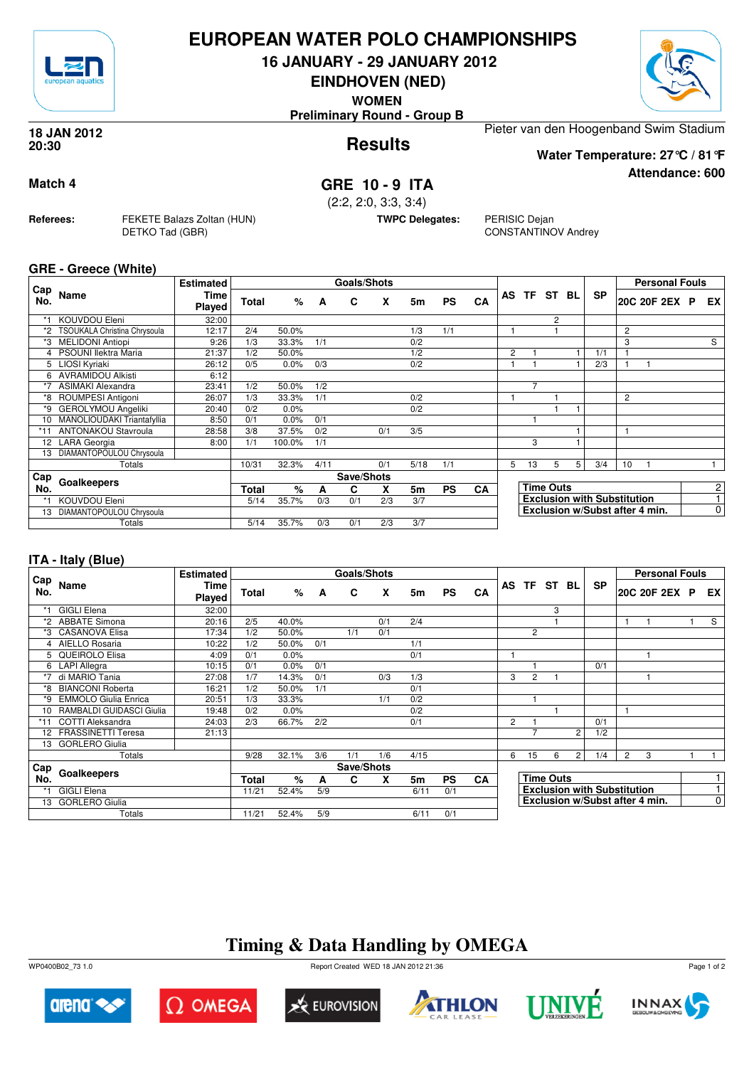

### **EUROPEAN WATER POLO CHAMPIONSHIPS**

**16 JANUARY - 29 JANUARY 2012**

**EINDHOVEN (NED)**

**WOMEN**

**Preliminary Round - Group B**

**Results 18 JAN 2012 20:30**

Pieter van den Hoogenband Swim Stadium

**Water Temperature: 27°C / 81°F**

**Match 4 GRE 10 - 9 ITA**

(2:2, 2:0, 3:3, 3:4)

**TWPC Delegates:** PERISIC Dejan

CONSTANTINOV Andrey

**GRE - Greece (White)**

**Referees:** FEKETE Balazs Zoltan (HUN)

DETKO Tad (GBR)

|            |                                     | <b>Estimated</b>      |              |        |      | Goals/Shots |     |      |           |           |                |                |                  |    |                                    |                | <b>Personal Fouls</b> |   |                |
|------------|-------------------------------------|-----------------------|--------------|--------|------|-------------|-----|------|-----------|-----------|----------------|----------------|------------------|----|------------------------------------|----------------|-----------------------|---|----------------|
| Cap<br>No. | Name                                | Time<br><b>Played</b> | Total        | %      | A    | C           | X   | 5m   | <b>PS</b> | CA        |                | AS TF ST       |                  | BL | <b>SP</b>                          |                | 20C 20F 2EX           | P | EX             |
| $*1$       | KOUVDOU Eleni                       | 32:00                 |              |        |      |             |     |      |           |           |                |                | 2                |    |                                    |                |                       |   |                |
| *2         | <b>TSOUKALA Christina Chrysoula</b> | 12:17                 | 2/4          | 50.0%  |      |             |     | 1/3  | 1/1       |           |                |                |                  |    |                                    | 2              |                       |   |                |
| *3         | <b>MELIDONI Antiopi</b>             | 9:26                  | 1/3          | 33.3%  | 1/1  |             |     | 0/2  |           |           |                |                |                  |    |                                    | 3              |                       |   | S              |
| 4          | PSOUNI llektra Maria                | 21:37                 | 1/2          | 50.0%  |      |             |     | 1/2  |           |           | $\overline{2}$ |                |                  |    | 1/1                                | $\overline{1}$ |                       |   |                |
| 5.         | LIOSI Kyriaki                       | 26:12                 | 0/5          | 0.0%   | 0/3  |             |     | 0/2  |           |           |                |                |                  |    | 2/3                                | 1              |                       |   |                |
| 6          | <b>AVRAMIDOU Alkisti</b>            | 6:12                  |              |        |      |             |     |      |           |           |                |                |                  |    |                                    |                |                       |   |                |
| $*7$       | <b>ASIMAKI Alexandra</b>            | 23:41                 | 1/2          | 50.0%  | 1/2  |             |     |      |           |           |                | $\overline{7}$ |                  |    |                                    |                |                       |   |                |
| *8         | ROUMPESI Antigoni                   | 26:07                 | 1/3          | 33.3%  | 1/1  |             |     | 0/2  |           |           |                |                |                  |    |                                    | $\overline{2}$ |                       |   |                |
| *9         | <b>GEROLYMOU Angeliki</b>           | 20:40                 | 0/2          | 0.0%   |      |             |     | 0/2  |           |           |                |                |                  |    |                                    |                |                       |   |                |
| 10         | MANOLIOUDAKI Triantafyllia          | 8:50                  | 0/1          | 0.0%   | 0/1  |             |     |      |           |           |                |                |                  |    |                                    |                |                       |   |                |
| $*11$      | <b>ANTONAKOU Stavroula</b>          | 28:58                 | 3/8          | 37.5%  | 0/2  |             | 0/1 | 3/5  |           |           |                |                |                  |    |                                    | $\mathbf{1}$   |                       |   |                |
| 12         | LARA Georgia                        | 8:00                  | 1/1          | 100.0% | 1/1  |             |     |      |           |           |                | 3              |                  |    |                                    |                |                       |   |                |
| 13         | DIAMANTOPOULOU Chrysoula            |                       |              |        |      |             |     |      |           |           |                |                |                  |    |                                    |                |                       |   |                |
|            | Totals                              |                       | 10/31        | 32.3%  | 4/11 |             | 0/1 | 5/18 | 1/1       |           | 5              | 13             | 5                | 5  | 3/4                                | 10             |                       |   |                |
| Cap        |                                     |                       |              |        |      | Save/Shots  |     |      |           |           |                |                |                  |    |                                    |                |                       |   |                |
| No.        | Goalkeepers                         |                       | <b>Total</b> | %      | A    | C           | X   | 5m   | <b>PS</b> | <b>CA</b> |                |                | <b>Time Outs</b> |    |                                    |                |                       |   | $\overline{2}$ |
| *1         | KOUVDOU Eleni                       |                       | 5/14         | 35.7%  | 0/3  | 0/1         | 2/3 | 3/7  |           |           |                |                |                  |    | <b>Exclusion with Substitution</b> |                |                       |   | 4              |
| 13         | DIAMANTOPOULOU Chrysoula            |                       |              |        |      |             |     |      |           |           |                |                |                  |    | Exclusion w/Subst after 4 min.     |                |                       |   | $\overline{0}$ |
|            | Totals                              |                       | 5/14         | 35.7%  | 0/3  | 0/1         | 2/3 | 3/7  |           |           |                |                |                  |    |                                    |                |                       |   |                |

#### **ITA - Italy (Blue)**

|                 |                             | <b>Estimated</b> |              |         |                | Goals/Shots |     |      |           |           |                |                |                  |                |                                    |                | <b>Personal Fouls</b>          |                |
|-----------------|-----------------------------|------------------|--------------|---------|----------------|-------------|-----|------|-----------|-----------|----------------|----------------|------------------|----------------|------------------------------------|----------------|--------------------------------|----------------|
| Cap<br>No.      | Name                        | Time<br>Played   | Total        | %       | $\overline{A}$ | C           | X   | 5m   | <b>PS</b> | CA        |                |                | AS TF ST         | BL             | <b>SP</b>                          |                | 20C 20F 2EX P                  | EX I           |
|                 | <b>GIGLI Elena</b>          | 32:00            |              |         |                |             |     |      |           |           |                |                | 3                |                |                                    |                |                                |                |
| *2              | <b>ABBATE Simona</b>        | 20:16            | 2/5          | 40.0%   |                |             | 0/1 | 2/4  |           |           |                |                |                  |                |                                    |                |                                | S              |
| *3              | <b>CASANOVA Elisa</b>       | 17:34            | 1/2          | 50.0%   |                | 1/1         | 0/1 |      |           |           |                | 2              |                  |                |                                    |                |                                |                |
|                 | AIELLO Rosaria              | 10:22            | 1/2          | 50.0%   | 0/1            |             |     | 1/1  |           |           |                |                |                  |                |                                    |                |                                |                |
| 5               | QUEIROLO Elisa              | 4:09             | 0/1          | 0.0%    |                |             |     | 0/1  |           |           |                |                |                  |                |                                    |                |                                |                |
|                 | 6 LAPI Allegra              | 10:15            | 0/1          | 0.0%    | 0/1            |             |     |      |           |           |                |                |                  |                | 0/1                                |                |                                |                |
| *7              | di MARIO Tania              | 27:08            | 1/7          | 14.3%   | 0/1            |             | 0/3 | 1/3  |           |           | 3              | $\overline{2}$ |                  |                |                                    |                |                                |                |
| *8              | <b>BIANCONI Roberta</b>     | 16:21            | 1/2          | 50.0%   | 1/1            |             |     | 0/1  |           |           |                |                |                  |                |                                    |                |                                |                |
| *9              | <b>EMMOLO Giulia Enrica</b> | 20:51            | 1/3          | 33.3%   |                |             | 1/1 | 0/2  |           |           |                |                |                  |                |                                    |                |                                |                |
| 10 <sup>1</sup> | RAMBALDI GUIDASCI Giulia    | 19:48            | 0/2          | $0.0\%$ |                |             |     | 0/2  |           |           |                |                |                  |                |                                    |                |                                |                |
| $*11$           | COTTI Aleksandra            | 24:03            | 2/3          | 66.7%   | 2/2            |             |     | 0/1  |           |           | $\overline{2}$ |                |                  |                | 0/1                                |                |                                |                |
|                 | 12 FRASSINETTI Teresa       | 21:13            |              |         |                |             |     |      |           |           |                | ⇁              |                  | 2              | 1/2                                |                |                                |                |
| 13              | <b>GORLERO Giulia</b>       |                  |              |         |                |             |     |      |           |           |                |                |                  |                |                                    |                |                                |                |
|                 | Totals                      |                  | 9/28         | 32.1%   | 3/6            | 1/1         | 1/6 | 4/15 |           |           | 6              | 15             | 6                | $\overline{2}$ | 1/4                                | $\overline{2}$ | 3                              |                |
| ⊦ Cap           |                             |                  |              |         |                | Save/Shots  |     |      |           |           |                |                |                  |                |                                    |                |                                |                |
| No.             | Goalkeepers                 |                  | <b>Total</b> | $\%$    | A              | C           | X   | 5m   | <b>PS</b> | <b>CA</b> |                |                | <b>Time Outs</b> |                |                                    |                |                                |                |
|                 | <b>GIGLI Elena</b>          |                  | 11/21        | 52.4%   | 5/9            |             |     | 6/11 | 0/1       |           |                |                |                  |                | <b>Exclusion with Substitution</b> |                |                                |                |
| 13              | <b>GORLERO Giulia</b>       |                  |              |         |                |             |     |      |           |           |                |                |                  |                |                                    |                | Exclusion w/Subst after 4 min. | $\overline{0}$ |
|                 | Totals                      |                  | 11/21        | 52.4%   | 5/9            |             |     | 6/11 | 0/1       |           |                |                |                  |                |                                    |                |                                |                |

## **Timing & Data Handling by OMEGA**



 $\Omega$  Omega









Page 1 of 2



**Attendance: 600**